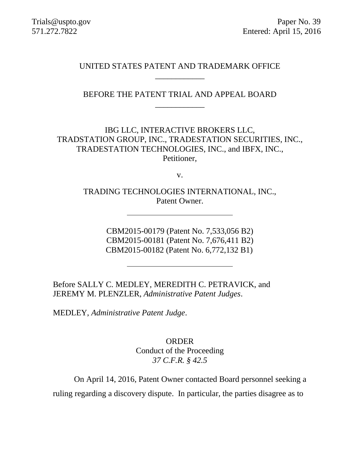Trials@uspto.gov Paper No. 39 571.272.7822 Entered: April 15, 2016

> UNITED STATES PATENT AND TRADEMARK OFFICE \_\_\_\_\_\_\_\_\_\_\_\_

BEFORE THE PATENT TRIAL AND APPEAL BOARD \_\_\_\_\_\_\_\_\_\_\_\_

IBG LLC, INTERACTIVE BROKERS LLC, TRADSTATION GROUP, INC., TRADESTATION SECURITIES, INC., TRADESTATION TECHNOLOGIES, INC., and IBFX, INC., Petitioner,

v.

TRADING TECHNOLOGIES INTERNATIONAL, INC., Patent Owner.

> CBM2015-00179 (Patent No. 7,533,056 B2) CBM2015-00181 (Patent No. 7,676,411 B2) CBM2015-00182 (Patent No. 6,772,132 B1)

Before SALLY C. MEDLEY, MEREDITH C. PETRAVICK, and JEREMY M. PLENZLER, *Administrative Patent Judges*.

MEDLEY, *Administrative Patent Judge*.

ORDER Conduct of the Proceeding *37 C.F.R. § 42.5*

On April 14, 2016, Patent Owner contacted Board personnel seeking a ruling regarding a discovery dispute. In particular, the parties disagree as to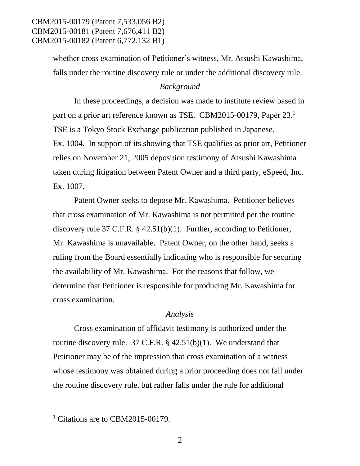CBM2015-00179 (Patent 7,533,056 B2) CBM2015-00181 (Patent 7,676,411 B2) CBM2015-00182 (Patent 6,772,132 B1)

> whether cross examination of Petitioner's witness, Mr. Atsushi Kawashima, falls under the routine discovery rule or under the additional discovery rule.

#### *Background*

In these proceedings, a decision was made to institute review based in part on a prior art reference known as TSE. CBM2015-00179, Paper 23.<sup>1</sup> TSE is a Tokyo Stock Exchange publication published in Japanese. Ex. 1004. In support of its showing that TSE qualifies as prior art, Petitioner relies on November 21, 2005 deposition testimony of Atsushi Kawashima taken during litigation between Patent Owner and a third party, eSpeed, Inc. Ex. 1007.

Patent Owner seeks to depose Mr. Kawashima. Petitioner believes that cross examination of Mr. Kawashima is not permitted per the routine discovery rule 37 C.F.R. § 42.51(b)(1). Further, according to Petitioner, Mr. Kawashima is unavailable. Patent Owner, on the other hand, seeks a ruling from the Board essentially indicating who is responsible for securing the availability of Mr. Kawashima. For the reasons that follow, we determine that Petitioner is responsible for producing Mr. Kawashima for cross examination.

### *Analysis*

Cross examination of affidavit testimony is authorized under the routine discovery rule. 37 C.F.R.  $\S$  42.51(b)(1). We understand that Petitioner may be of the impression that cross examination of a witness whose testimony was obtained during a prior proceeding does not fall under the routine discovery rule, but rather falls under the rule for additional

 $\overline{a}$ 

<sup>&</sup>lt;sup>1</sup> Citations are to CBM2015-00179.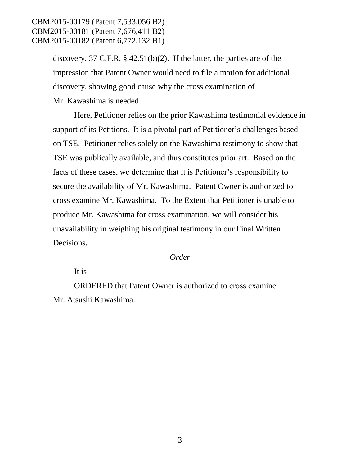## CBM2015-00179 (Patent 7,533,056 B2) CBM2015-00181 (Patent 7,676,411 B2) CBM2015-00182 (Patent 6,772,132 B1)

discovery, 37 C.F.R.  $\S$  42.51(b)(2). If the latter, the parties are of the impression that Patent Owner would need to file a motion for additional discovery, showing good cause why the cross examination of Mr. Kawashima is needed.

Here, Petitioner relies on the prior Kawashima testimonial evidence in support of its Petitions. It is a pivotal part of Petitioner's challenges based on TSE. Petitioner relies solely on the Kawashima testimony to show that TSE was publically available, and thus constitutes prior art. Based on the facts of these cases, we determine that it is Petitioner's responsibility to secure the availability of Mr. Kawashima. Patent Owner is authorized to cross examine Mr. Kawashima. To the Extent that Petitioner is unable to produce Mr. Kawashima for cross examination, we will consider his unavailability in weighing his original testimony in our Final Written Decisions.

#### *Order*

It is

ORDERED that Patent Owner is authorized to cross examine Mr. Atsushi Kawashima.